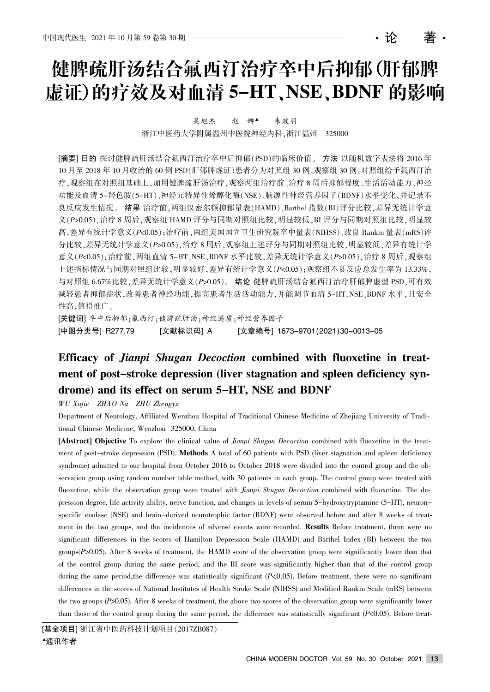# 健脾疏肝汤结合氟西汀治疗卒中后抑郁(肝郁脾 虚证)的疗效及对血清 5-HT、NSE、BDNF 的影响

吴旭杰 赵 娜▲ 朱政羽

浙江中医药大学附属温州中医院神经内科,浙江温州 325000

[摘要] 目的 探讨健脾疏肝汤结合氟西汀治疗卒中后抑郁(PSD)的临床价值。方法 以随机数字表法将 2016 年 10 月至 2018 年 10 月收治的 60 例 PSD(肝郁脾虚证)患者分为对照组 30 例, 观察组 30 例, 对照组给予氟西汀治 疗,观察组在对照组基础上,加用健脾疏肝汤治疗,观察两组治疗前、治疗8周后抑郁程度、生活活动能力、神经 功能及血清 5-羟色胺(5-HT)、神经元特异性烯醇化酶(NSE)、脑源性神经营养因子(BDNF)水平变化,并记录不 良反应发生情况。结果 治疗前, 两组汉密尔顿抑郁量表(HAMD)、Barthel 指数(BI)评分比较, 差异无统计学意  $X(P>0.05)$ , 治疗 8 周后, 观察组 HAMD 评分与同期对照组比较, 明显较低, BI 评分与同期对照组比较, 明显较 高, 差异有统计学意义 $(P<sub>5</sub>0.05)$ ; 治疗前, 两组美国国立卫生研究院卒中量表 $(NIHSS)$ 、改良 Rankin 量表 $(mRS)$ 评 分比较, 差异无统计学意义(P>0.05), 治疗 8 周后, 观察组上述评分与同期对照组比较, 明显较低, 差异有统计学 意义 $(P<0.05)$ : 治疗前, 两组血清 5-HT、NSE、BDNF 水平比较, 差异无统计学意义 $(P>0.05)$ , 治疗 8 周后, 观察组 上述指标情况与同期对照组比较,明显较好,差异有统计学意义(P<0.05);观察组不良反应总发生率为 13.33%, 与对照组 6.67%比较,差异无统计学意义( $P > 0.05$ )。结论 健脾疏肝汤结合氟西汀治疗肝郁脾虚型 PSD,可有效 减轻患者抑郁症状,改善患者神经功能,提高患者生活活动能力,并能调节血清 5-HT、NSE、BDNF 水平,且安全 性高,值得推广。

[关键词] 卒中后抑郁;氟西汀;健脾疏肝汤;神经递质;神经营养因子 [中图分类号] R277.79 [文献标识码] A [文章编号] 1673-9701(2021)30-0013-05

## Efficacy of *Jianpi Shugan Decoction* combined with fluoxetine in treatment of post-stroke depression (liver stagnation and spleen deficiency syndrome) and its effect on serum 5-HT, NSE and BDNF

WU Xujie ZHAO Na ZHU Zhengyu

Department of Neurology, Affiliated Wenzhou Hospital of Traditional Chinese Medicine of Zhejiang University of Traditional Chinese Medicine, Wenzhou 325000, China

[Abstract] Objective To explore the clinical value of *Jianpi Shugan Decoction* combined with fluoxetine in the treatment of post-stroke depression (PSD). Methods A total of 60 patients with PSD (liver stagnation and spleen deficiency syndrome) admitted to our hospital from October 2016 to October 2018 were divided into the control group and the observation group using random number table method, with 30 patients in each group. The control group were treated with fluoxetine, while the observation group were treated with *Jianpi Shugan Decoction* combined with fluoxetine. The depression degree, life activity ability, nerve function, and changes in levels of serum 5-hydroxytryptamine (5-HT), neuronspecific enolase (NSE) and brain-derived neurotrophic factor (BDNF) were observed before and after 8 weeks of treatment in the two groups, and the incidences of adverse events were recorded. Results Before treatment, there were no significant differences in the scores of Hamilton Depression Scale (HAMD) and Barthel Index (BI) between the two groups(P>0.05). After 8 weeks of treatment, the HAMD score of the observation group were significantly lower than that of the control group during the same period, and the BI score was significantly higher than that of the control group during the same period, the difference was statistically significant (P<0.05). Before treatment, there were no significant differences in the scores of National Institutes of Health Stroke Scale (NIHSS) and Modified Rankin Scale (mRS) between the two groups (P>0.05). After 8 weeks of treatment, the above two scores of the observation group were significantly lower than those of the control group during the same period, the difference was statistically significant  $(P<0.05)$ . Before treat-

[基金项目] 浙江省中医药科技计划项目(2017ZB087)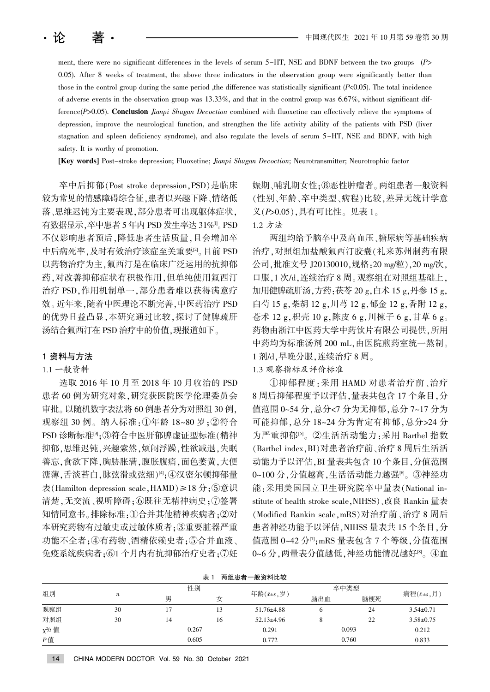ment, there were no significant differences in the levels of serum  $5-H$ , NSE and BDNF between the two groups ( $P$ ) 0.05). After 8 weeks of treatment, the above three indicators in the observation group were significantly better than those in the control group during the same period ,the difference was statistically significant (P<0.05). The total incidence of adverse events in the observation group was  $13.33\%$ , and that in the control group was  $6.67\%$ , without significant difference(P>0.05). Conclusion *Jianpi Shugan Decoction* combined with fluoxetine can effectively relieve the symptoms of depression, improve the neurological function, and strengthen the life activity ability of the patients with PSD (liver stagnation and spleen deficiency syndrome), and also regulate the levels of serum 5-HT, NSE and BDNF, with high safety. It is worthy of promotion.

[Key words] Post-stroke depression; Fluoxetine; Jianpi Shugan Decoction; Neurotransmitter; Neurotrophic factor

卒中后抑郁(Post stroke depression, PSD)是临床 较为常见的情感障碍综合征,患者以兴趣下降、情绪低 落、思维迟钝为主要表现,部分患者可出现躯体症状, 有数据显示,卒中患者 5 年内 PSD 发生率达 31%[1]。 PSD 不仅影响患者预后,降低患者生活质量,且会增加卒 中后病死率,及时有效治疗该症至关重要<sup>[2]</sup>。目前 PSD 以药物治疗为主,氟西汀是在临床广泛运用的抗抑郁 药,对改善抑郁症状有积极作用,但单纯使用氟西汀 治疗 PSD,作用机制单一,部分患者难以获得满意疗 效。近年来,随着中医理论不断完善,中医药治疗 PSD 的优势日益凸显,本研究通过比较,探讨了健脾疏肝 汤结合氟西汀在 PSD 治疗中的价值,现报道如下。

#### 1 资料与方法

#### 1.1 一般资料

选取 2016 年 10 月至 2018 年 10 月收治的 PSD 患者 60 例为研究对象, 研究获医院医学伦理委员会 审批。以随机数字表法将 60 例患者分为对照组 30 例, 观察组 30 例。纳入标准:①年龄 18~80 岁;②符合 PSD 诊断标准<sup>[3]</sup>;③符合中医肝郁脾虚证型标准(精神 抑郁,思维迟钝,兴趣索然,烦闷浮躁,性欲减退,失眠 善忘,食欲下降,胸胁胀满,腹胀腹痛,面色萎黄,大便 溏薄,舌淡苔白,脉弦滑或弦细)<sup>[4]</sup>; 4)汉密尔顿抑郁量 表(Hamilton depression scale, HAMD)≥18 分;⑤意识 清楚,无交流、视听障碍;⑥既往无精神病史;⑦签署 知情同意书。排除标准:①合并其他精神疾病者;②对 本研究药物有过敏史或过敏体质者:3重要脏器严重 功能不全者;4有药物、酒精依赖史者;5合并血液、 免疫系统疾病者: 61 个月内有抗抑郁治疗史者: 7)奸 娠期、哺乳期女性:8恶性肿瘤者。两组患者一般资料 (性别、年龄、卒中类型、病程)比较,差异无统计学意  $X(P>0.05)$ , 具有可比性。见表 1。

### 1.2 方法

两组均给予脑卒中及高血压、糖尿病等基础疾病 治疗,对照组加盐酸氟西汀胶囊(礼来苏州制药有限 公司,批准文号 J20130010,规格: 20 mg/粒), 20 mg/次, 口服,1 次/d,连续治疗 8 周。观察组在对照组基础上, 加用健脾疏肝汤,方药:茯苓 20 g,白术 15 g,丹参 15 g, 白芍 15 g,柴胡 12 g,川芎 12 g,郁金 12 g,香附 12 g, 苍术 12 g,枳壳 10 g,陈皮 6 g,川楝子 6 g,甘草 6 g。 药物由浙江中医药大学中药饮片有限公司提供,所用 中药均为标准汤剂 200 mL,由医院煎药室统一熬制。 1 剂/d. 早晚分服, 连续治疗 8 周。

1.3 观察指标及评价标准

①抑郁程度:采用 HAMD 对患者治疗前、治疗 8 周后抑郁程度予以评估,量表共包含 17 个条目,分 值范围 0~54 分, 总分<7 分为无抑郁, 总分 7~17 分为 可能抑郁, 总分 18~24 分为肯定有抑郁, 总分>24 分 为严重抑郁[5]。②生活活动能力:采用 Barthel 指数 (Barthel index, BI)对患者治疗前、治疗 8 周后生活活 动能力予以评估, BI 量表共包含 10 个条目, 分值范围 0~100分,分值越高,生活活动能力越强<sup>[6]</sup>。③神经功 能:采用美国国立卫生研究院卒中量表(National institute of health stroke scale, NIHSS)、改良 Rankin 量表 (Modified Rankin scale, mRS)对治疗前、治疗 8 周后 患者神经功能予以评估, NIHSS 量表共 15 个条目, 分 值范围 0~42 分 $\eta$ <sub>;mRS</sub> 量表包含 7 个等级, 分值范围 0~6分, 两量表分值越低, 神经功能情况越好<sup>88</sup>。 4 血

| 表<br>两组患者一般资料比较 |                  |    |       |                                         |      |       |                               |
|-----------------|------------------|----|-------|-----------------------------------------|------|-------|-------------------------------|
| 组别              | $\boldsymbol{n}$ | 性别 |       |                                         | 卒中类型 |       |                               |
|                 |                  | 男  | 女     | 年龄 $(\bar{x} \pm s, \dot{\mathcal{Y}})$ | 脑出血  | 脑梗死   | 病程 $(\bar{x} \pm s, \bar{A})$ |
| 观察组             | 30               |    | 13    | $51.76\pm4.88$                          | O    | 24    | $3.54 \pm 0.71$               |
| 对照组             | 30               | 14 | 16    | $52.13 \pm 4.96$                        | δ    | 22    | $3.58 \pm 0.75$               |
| $\chi^2/t$ 值    |                  |    | 0.267 | 0.291                                   |      | 0.093 | 0.212                         |
| P值              |                  |    | 0.605 | 0.772                                   |      | 0.760 | 0.833                         |

表 1 两组患者一般资料比较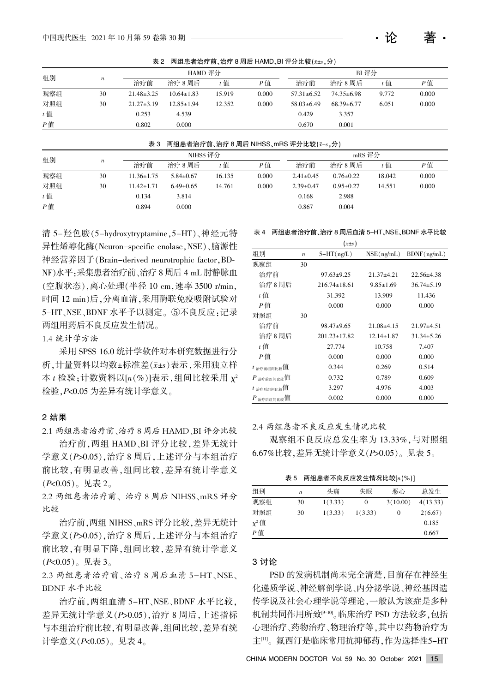表 2 两组患者治疗前、治疗 8 周后 HAMD、BI 评分比较 $(x \pm s, \Delta)$ 

| 组别    |                  |                  | HAMD 评分          |        |       |                  | BI评分             |       |       |  |
|-------|------------------|------------------|------------------|--------|-------|------------------|------------------|-------|-------|--|
|       | $\boldsymbol{n}$ | 治疗前              | 治疗 8 周后          | $t$ 值  | P值    | 治疗前              | 治疗 8 周后          | t 值   | P值    |  |
| 观察组   | 30               | $21.48 \pm 3.25$ | $10.64 \pm 1.83$ | 15.919 | 0.000 | $57.31 \pm 6.52$ | 74.35±6.98       | 9.772 | 0.000 |  |
| 对照组   | 30               | $21.27 \pm 3.19$ | $12.85 \pm 1.94$ | 12.352 | 0.000 | $58.03 \pm 6.49$ | $68.39 \pm 6.77$ | 6.051 | 0.000 |  |
| $t$ 值 |                  | 0.253            | 4.539            |        |       | 0.429            | 3.357            |       |       |  |
| $P$ 值 |                  | 0.802            | 0.000            |        |       | 0.670            | 0.001            |       |       |  |

表 3 两组患者治疗前、治疗 8 周后 NIHSS、mRS 评分比较 $(x \pm s, \hat{y})$ 观察组 对照组 t 值 P 值 30 30  $11.36 \pm 1.75$  $11.42 \pm 1.71$ 0.134 0.894  $5.84 \pm 0.67$  $6.49 \pm 0.65$ 3.814 0.000 16.135 14.761 0.000 0.000  $2.41 \pm 0.45$  $2.39 \pm 0.47$ 0.168 0.867  $0.76 \pm 0.22$  $0.95 \pm 0.27$ 2.988 0.004 18.042 14.551 0.000 0.000 组别  $n$   $\frac{NIHSS \cancel{r}\cancel{r}}{N}$ 治疗前 治疗 8 周后  $t$  值  $t$   $\theta$  值 mRS 评分 治疗前 治疗8周后  $t$  值  $P$  值

清 5-羟色胺(5-hydroxytryptamine, 5-HT)、神经元特 异性烯醇化酶(Neuron-specific enolase,NSE)、脑源性 神经营养因子(Brain-derived neurotrophic factor, BD-NF)水平:采集患者治疗前、治疗 8 周后 4 mL 肘静脉血 (空腹状态),离心处理(半径 10 cm,速率 3500 r/min, 时间 12 min)后,分离血清,采用酶联免疫吸附试验对 5-HT、NSE、BDNF 水平予以测定。⑤不良反应:记录 两组用药后不良反应发生情况。

1.4 统计学方法

采用 SPSS 16.0 统计学软件对本研究数据进行分 析, 计量资料以均数±标准差(x±s)表示, 采用独立样 本  $t$  检验; 计数资料以 $[n(\%)]$ 表示, 组间比较采用  $\chi^2$ 检验,  $P< 0.05$  为差异有统计学意义。

#### 2 结果

2.1 两组患者治疗前、治疗 8 周后 HAMD、BI 评分比较

治疗前, 两组 HAMD、BI 评分比较, 差异无统计 学意义(P>0.05),治疗 8 周后,上述评分与本组治疗 前比较,有明显改善,组间比较,差异有统计学意义  $(P<0.05)$ 。见表 2。

2.2 两组患者治疗前、治疗 8 周后 NIHSS、mRS 评分 比较

治疗前, 两组 NIHSS、mRS 评分比较, 差异无统计 学意义 $(P>0.05)$ , 治疗 8 周后, 上述评分与本组治疗 前比较,有明显下降,组间比较,差异有统计学意义  $(P<0.05)$ 。见表 3。

2.3 两组患者治疗前、治疗 8 周后血清 5-HT、NSE、 BDNF 水平比较

治疗前, 两组血清 5-HT、NSE、BDNF 水平比较, 差异无统计学意义 ( $P > 0.05$ ), 治疗 8 周后, 上述指标 与本组治疗前比较,有明显改善,组间比较,差异有统 计学意义 $(P< 0.05)$ 。见表 4。

#### 表 4 两组患者治疗前、治疗 8 周后血清 5-HT、NSE、BDNF 水平比较

| $(\bar{x} \pm s)$                                       |                  |                    |                  |                  |  |  |
|---------------------------------------------------------|------------------|--------------------|------------------|------------------|--|--|
| 组别                                                      | $\boldsymbol{n}$ | $5-HT(ng/L)$       | NSE(ng/mL)       | BDNF(ng/mL)      |  |  |
| 观察组                                                     | 30               |                    |                  |                  |  |  |
| 治疗前                                                     |                  | $97.63+9.25$       | $21.37+4.21$     | $22.56 \pm 4.38$ |  |  |
| 治疗8周后                                                   |                  | $216.74 \pm 18.61$ | $9.85 \pm 1.69$  | $36.74 \pm 5.19$ |  |  |
| t 值                                                     |                  | 31.392             | 13.909           | 11.436           |  |  |
| P值                                                      |                  | 0.000              | 0.000            | 0.000            |  |  |
| 对照组                                                     | 30               |                    |                  |                  |  |  |
| 治疗前                                                     |                  | $98.47+9.65$       | $21.08+4.15$     | $21.97+4.51$     |  |  |
| 治疗8周后                                                   |                  | $201.23 \pm 17.82$ | $12.14 \pm 1.87$ | $31.34 \pm 5.26$ |  |  |
| t 值                                                     |                  | 27.774             | 10.758           | 7.407            |  |  |
| P値                                                      |                  | 0.000              | 0.000            | 0.000            |  |  |
| $t_{\hat{\pi}\hat{\eta}\hat{\eta}\hat{\eta}\hat{\eta}}$ |                  | 0.344              | 0.269            | 0.514            |  |  |
| $P_{\nparallel \hat{H}}$ 前组间比较值                         |                  | 0.732              | 0.789            | 0.609            |  |  |
| $t_{\hat{n}\hat{r}\hat{r}\hat{r}\hat{a}}$ 匍 比较 值        |                  | 3.297              | 4.976            | 4.003            |  |  |
| $P_{\nparallel}$ 治疗后组间比较值                               |                  | 0.002              | 0.000            | 0.000            |  |  |

#### 2.4 两组患者不良反应发生情况比较

观察组不良反应总发生率为 13.33%,与对照组 6.67%比较, 差异无统计学意义 (P>0.05)。见表 5。

表 5 两组患者不良反应发生情况比较 $[n(\%)]$ 

| 组别         | n  | 头痛      | 失眠      | 悪心       | 总发生      |
|------------|----|---------|---------|----------|----------|
| 观察组        | 30 | 1(3.33) | 0       | 3(10.00) | 4(13.33) |
| 对照组        | 30 | 1(3.33) | 1(3.33) | 0        | 2(6.67)  |
| $\chi^2$ 值 |    |         |         |          | 0.185    |
| P値         |    |         |         |          | 0.667    |

#### 3 讨论

PSD 的发病机制尚未完全清楚,目前存在神经生 化递质学说、神经解剖学说、内分泌学说、神经基因遗 传学说及社会心理学说等理论,一般认为该症是多种 机制共同作用所致<sup>[9-10]</sup>。临床治疗 PSD 方法较多,包括 心理治疗、药物治疗、物理治疗等,其中以药物治疗为 主[11]。氟西汀是临床常用抗抑郁药,作为选择性5-HT

CHINA MODERN DOCTOR Vol. 59 No. 30 October 2021 15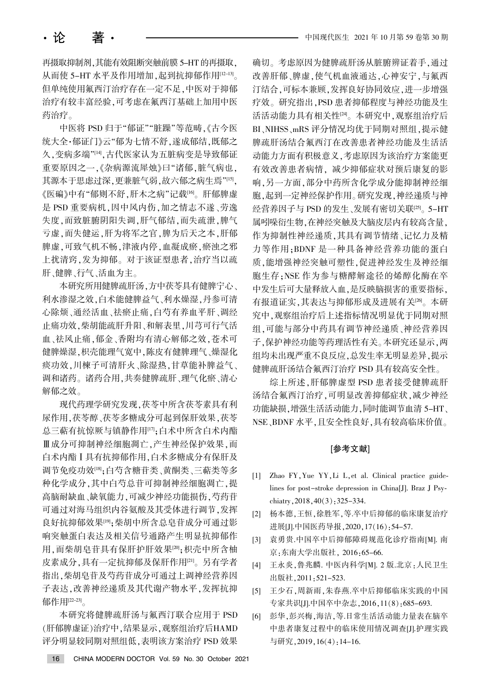再摄取抑制剂,其能有效阻断突触前膜 5-HT 的再摄取, 从而使 5-HT 水平及作用增加,起到抗抑郁作用[12-13]。 但单纯使用氟西汀治疗存在一定不足,中医对于抑郁 治疗有较丰富经验,可考虑在氟西汀基础上加用中医 药治疗。

中医将 PSD 归于"郁证""脏躁"等范畴,《古今医 统大全·郁证门》云"郁为七情不舒,遂成郁结,既郁之 久,变病多端"[14],古代医家认为五脏病变是导致郁证 重要原因之一、《杂病源流犀烛》曰"诸郁,脏气病也, 其源本于思虑过深,更兼脏气弱,故六郁之病生焉"[15] 《医碥》中有"郁则不舒,肝木之病"记载[16]。肝郁脾虚 是 PSD 重要病机, 因中风内伤, 加之情志不遂、劳逸 失度,而致脏腑阴阳失调,肝气郁结,而失疏泄,脾气 亏虚,而失健运,肝为将军之官,脾为后天之本,肝郁 脾虚,可致气机不畅,津液内停,血凝成瘀,瘀浊之邪 上扰清窍,发为抑郁。对于该证型患者,治疗当以疏 肝、健脾、行气、活血为主。

本研究所用健脾疏肝汤、方中茯苓具有健脾宁心、 利水渗湿之效,白术能健脾益气、利水燥湿,丹参可清 心除烦、通经活血、祛瘀止痛,白芍有养血平肝、调经 止痛功效,柴胡能疏肝升阳、和解表里,川芎可行气活 血、祛风止痛、郁金、香附均有清心解郁之效,苍术可 健脾燥湿,枳壳能理气宽中,陈皮有健脾理气、燥湿化 痰功效,川楝子可清肝火、除湿热,甘草能补脾益气、 调和诸药。诸药合用,共奏健脾疏肝、理气化瘀、清心 解郁之效。

现代药理学研究发现,茯苓中所含茯苓素具有利 尿作用,茯苓醇、茯苓多糖成分可起到保肝效果,茯苓 总三萜有抗惊厥与镇静作用[17];白术中所含白术内酯 Ⅲ成分可抑制神经细胞凋亡,产生神经保护效果,而 白术内酯 I 具有抗抑郁作用, 白术多糖成分有保肝及 调节免疫功效[18];白芍含糖苷类、黄酮类、三萜类等多 种化学成分,其中白芍总苷可抑制神经细胞凋亡,提 高脑耐缺血、缺氧能力,可减少神经功能损伤,芍药苷 可通过对海马组织内谷氨酸及其受体进行调节,发挥 良好抗抑郁效果[19];柴胡中所含总皂苷成分可通过影 响突触蛋白表达及相关信号通路产生明显抗抑郁作 用,而柴胡皂苷具有保肝护肝效果[20];枳壳中所含柚 皮素成分,具有一定抗抑郁及保肝作用[21]。另有学者 指出,柴胡皂苷及芍药苷成分可通过上调神经营养因 子表达,改善神经递质及其代谢产物水平,发挥抗抑 郁作用[22-23]。

本研究将健脾疏肝汤与氟西汀联合应用于 PSD (肝郁脾虚证)治疗中,结果显示,观察组治疗后HAMD 评分明显较同期对照组低, 表明该方案治疗 PSD 效果

确切。考虑原因为健脾疏肝汤从脏腑辨证着手,通过 改善肝郁、脾虚,使气机血液通达,心神安宁,与氟西 汀结合,可标本兼顾,发挥良好协同效应,进一步增强 疗效。研究指出, PSD 患者抑郁程度与神经功能及生 活活动能力具有相关性[24]。本研究中,观察组治疗后 BI、NIHSS、mRS 评分情况均优于同期对照组, 提示健 脾疏肝汤结合氟西汀在改善患者神经功能及生活活 动能力方面有积极意义,考虑原因为该治疗方案能更 有效改善患者病情, 减少抑郁症状对预后康复的影 响,另一方面,部分中药所含化学成分能抑制神经细 胞,起到一定神经保护作用。研究发现,神经递质与神 经营养因子与 PSD 的发生、发展有密切关联[25]。5-HT 属吲哚衍生物,在神经突触及大脑皮层内有较高含量, 作为抑制性神经递质,其具有调节情绪、记忆力及精 力等作用;BDNF 是一种具备神经营养功能的蛋白 质,能增强神经突触可塑性,促进神经发生及神经细 胞生存:NSE 作为参与糖酵解途径的烯醇化酶在卒 中发生后可大量释放入血,是反映脑损害的重要指标, 有报道证实,其表达与抑郁形成及进展有关[26]。本研 究中,观察组治疗后上述指标情况明显优于同期对照 组,可能与部分中药具有调节神经递质、神经营养因 子,保护神经功能等药理活性有关。本研究还显示,两 组均未出现严重不良反应,总发生率无明显差异,提示 健脾疏肝汤结合氟西汀治疗 PSD 具有较高安全性。

综上所述, 肝郁脾虚型 PSD 患者接受健脾疏肝 汤结合氟西汀治疗,可明显改善抑郁症状,减少神经 功能缺损,增强生活活动能力,同时能调节血清 5-HT、 NSE、BDNF 水平,且安全性良好,具有较高临床价值。

#### [参考文献]

- [1] Zhao FY, Yue YY, Li L, et al. Clinical practice guidelines for post-stroke depression in China[J]. Braz J Psychiatry,  $2018, 40(3)$ :  $325-334$ .
- [2] 杨本德,王恒,徐胜军,等.卒中后抑郁的临床康复治疗 进展[J].中国医药导报, 2020, 17(16): 54-57.
- [3] 袁勇贵.中国卒中后抑郁障碍规范化诊疗指南[M]. 南 京:东南大学出版社, 2016:65-66.
- [4] 王永炎,鲁兆麟. 中医内科学[M]. 2 版.北京:人民卫生 出版社, 2011: 521-523.
- [5] 王少石, 周新雨, 朱春燕.卒中后抑郁临床实践的中国 专家共识[J].中国卒中杂志, 2016, 11(8): 685-693.
- [6] 彭华,彭兴梅,海洁,等.日常生活活动能力量表在脑卒 中患者康复过程中的临床使用情况调查[J].护理实践 与研究, 2019, 16(4): 14-16.